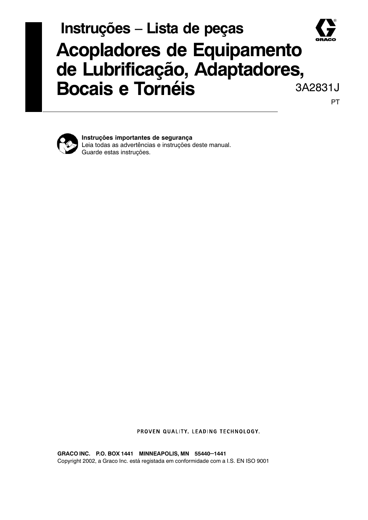## Instruções - Lista de peças **Acopladores de Equipamento** de Lubrificação, Adaptadores, **Bocais e Tornéis** 3A2831J PT



Instruções importantes de segurança Leia todas as advertências e instruções deste manual. Guarde estas instruções.

PROVEN QUALITY. LEADING TECHNOLOGY.

GRACO INC. P.O. BOX 1441 MINNEAPOLIS, MN 55440-1441 Copyright 2002, a Graco Inc. está registada em conformidade com a I.S. EN ISO 9001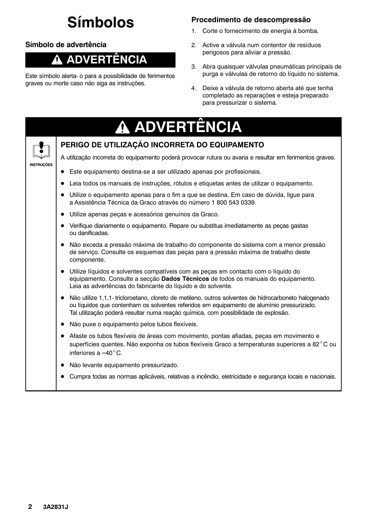# **Símbolos**

## Símbolo de advertência

#### ADVERTÊNCIA Λ

Este símbolo alerta- o para a possibilidade de ferimentos graves ou morte caso não siga as instruções.

## Procedimento de descompressão

- 1. Corte o fornecimento de energia à bomba.
- 2. Active a válvula num contentor de resíduos perigosos para aliviar a pressão.
- 3. Abra quaisquer válvulas pneumáticas principais de purga e válvulas de retorno do líquido no sistema.
- 4. Deixe a válvula de retorno aberta até que tenha completado as reparações e esteja preparado para pressurizar o sistema.

|            | A ADVERTÊNCIA                                                                                                                                                                                                                                                                                        |
|------------|------------------------------------------------------------------------------------------------------------------------------------------------------------------------------------------------------------------------------------------------------------------------------------------------------|
|            | PERIGO DE UTILIZAÇÃO INCORRETA DO EQUIPAMENTO                                                                                                                                                                                                                                                        |
|            | A utilização incorreta do equipamento poderá provocar rutura ou avaria e resultar em ferimentos graves.                                                                                                                                                                                              |
| INSTRUÇÕES | Este equipamento destina-se a ser utilizado apenas por profissionais.                                                                                                                                                                                                                                |
|            | Leia todos os manuais de instruções, rótulos e etiquetas antes de utilizar o equipamento.                                                                                                                                                                                                            |
|            | Utilize o equipamento apenas para o fim a que se destina. Em caso de dúvida, ligue para<br>$\bullet$<br>a Assistência Técnica da Graco através do número 1 800 543 0339.                                                                                                                             |
|            | Utilize apenas peças e acessórios genuínos da Graco.                                                                                                                                                                                                                                                 |
|            | Verifique diariamente o equipamento. Repare ou substitua imediatamente as peças gastas<br>ou danificadas.                                                                                                                                                                                            |
|            | Não exceda a pressão máxima de trabalho do componente do sistema com a menor pressão<br>$\bullet$<br>de serviço. Consulte os esquemas das peças para a pressão máxima de trabalho deste<br>componente.                                                                                               |
|            | Utilize líquidos e solventes compatíveis com as peças em contacto com o líquido do<br>$\bullet$<br>equipamento. Consulte a secção Dados Técnicos de todos os manuais do equipamento.<br>Leia as advertências do fabricante do líquido e do solvente.                                                 |
|            | Não utilize 1,1,1- tricloroetano, cloreto de metileno, outros solventes de hidrocarboneto halogenado<br>$\bullet$<br>ou líquidos que contenham os solventes referidos em equipamento de alumínio pressurizado.<br>Tal utilização poderá resultar numa reação química, com possibilidade de explosão. |
|            | Não puxe o equipamento pelos tubos flexíveis.                                                                                                                                                                                                                                                        |
|            | Afaste os tubos flexíveis de áreas com movimento, pontas afiadas, peças em movimento e<br>$\bullet$<br>superfícies quentes. Não exponha os tubos flexíveis Graco a temperaturas superiores a 82°C ou<br>inferiores a $-40^{\circ}$ C.                                                                |
|            | Não levante equipamento pressurizado.                                                                                                                                                                                                                                                                |
|            | Cumpra todas as normas aplicáveis, relativas a incêndio, eletricidade e segurança locais e nacionais.                                                                                                                                                                                                |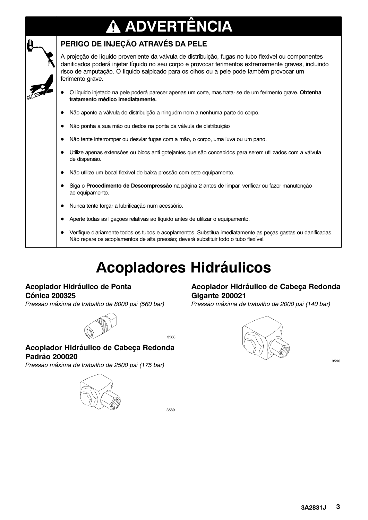## ADVERTÊNCIA 4



## PERIGO DE INJEÇÃO ATRAVÉS DA PELE

A projeção de líquido proveniente da válvula de distribuição, fugas no tubo flexível ou componentes danificados poderá injetar líquido no seu corpo e provocar ferimentos extremamente graves, incluindo risco de amputação. O líquido salpicado para os olhos ou a pele pode também provocar um ferimento grave.

- O líquido injetado na pele poderá parecer apenas um corte, mas trata-se de um ferimento grave. Obtenha  $\bullet$ tratamento médico imediatamente.
- $\bullet$ Não aponte a válvula de distribuição a ninguém nem a nenhuma parte do corpo.
- Não ponha a sua mão ou dedos na ponta da válvula de distribuição
- Não tente interromper ou desviar fugas com a mão, o corpo, uma luva ou um pano.
- Utilize apenas extensões ou bicos anti gotejantes que são concebidos para serem utilizados com a válvula de dispersão.
- Não utilize um bocal flexível de baixa pressão com este equipamento.
- Siga o Procedimento de Descompressão na página 2 antes de limpar, verificar ou fazer manutenção ao equipamento.
- Nunca tente forçar a lubrificação num acessório.
- Aperte todas as ligações relativas ao líquido antes de utilizar o equipamento.
- Verifique diariamente todos os tubos e acoplamentos. Substitua imediatamente as pecas gastas ou danificadas. Não repare os acoplamentos de alta pressão; deverá substituir todo o tubo flexível.

# **Acopladores Hidráulicos**

#### Acoplador Hidráulico de Ponta **Cónica 200325**

Pressão máxima de trabalho de 8000 psi (560 bar)



3588

#### Acoplador Hidráulico de Cabeça Redonda Padrão 200020

Pressão máxima de trabalho de 2500 psi (175 bar)



### Acoplador Hidráulico de Cabeça Redonda **Gigante 200021**

Pressão máxima de trabalho de 2000 psi (140 bar)



3590

3589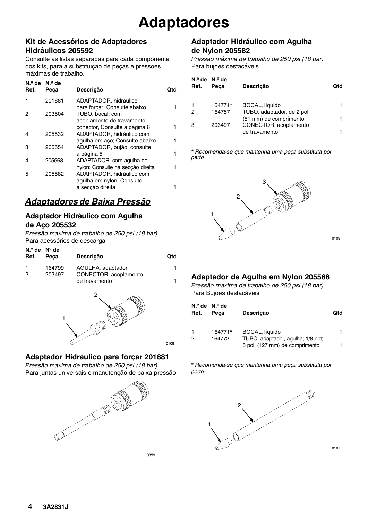### Kit de Acessórios de Adaptadores Hidráulicos 205592

Consulte as listas separadas para cada componente dos kits, para a substituição de peças e pressões máximas de trabalho.

| Ref. | $N9$ de $N9$ de<br>Peça | Descrição                                                   | Otd |
|------|-------------------------|-------------------------------------------------------------|-----|
|      | 201881                  | ADAPTADOR, hidráulico<br>para forçar; Consulte abaixo       | 1   |
|      | 203504                  | TUBO, bocal; com<br>acoplamento de travamento               |     |
|      |                         | conector, Consulte a página 6                               | 1   |
| 4    | 205532                  | ADAPTADOR, hidráulico com<br>agulha em aco; Consulte abaixo | 1   |
| з    | 205554                  | ADAPTADOR, bujão, consulte                                  | 1   |
|      | 205568                  | a página 5<br>ADAPTADOR, com agulha de                      |     |
|      |                         | nylon; Consulte na seccão direita                           | 1   |
| 5    | 205582                  | ADAPTADOR, hidráulico com<br>agulha em nylon; Consulte      |     |
|      |                         | a seccão direita                                            | 1   |
|      |                         |                                                             |     |

## Adaptadores de Baixa Pressão

### Adaptador Hidráulico com Agulha de Aço 205532

Pressão máxima de trabalho de 250 psi (18 bar) Para acessórios de descarga

| $N_{\cdot 2}$ de $N_2$ de<br>Ref. | Peca   | <b>Descrição</b>                       | <b>Qtd</b> |
|-----------------------------------|--------|----------------------------------------|------------|
|                                   | 164799 | AGULHA, adaptador                      | 1          |
| 2                                 | 203497 | CONECTOR, acoplamento<br>de travamento |            |



## Adaptador Hidráulico para forçar 201881

Pressão máxima de trabalho de 250 psi (18 bar) Para juntas universais e manutenção de baixa pressão



03591

0108

## Adaptador Hidráulico com Agulha de Nylon 205582

Pressão máxima de trabalho de 250 psi (18 bar) Para bujões destacáveis

| Ref. | $N_{\cdot}^{\circ}$ de $N_{\cdot}^{\circ}$ de<br>Peca | <b>Descrição</b>                                     | Ωtd |
|------|-------------------------------------------------------|------------------------------------------------------|-----|
|      | 164771*                                               | BOCAL, líquido                                       |     |
| 2    | 164757                                                | TUBO, adaptador, de 2 pol.<br>(51 mm) de comprimento |     |
| З    | 203497                                                | CONECTOR, acoplamento<br>de travamento               |     |
|      |                                                       |                                                      |     |

\* Recomenda-se que mantenha uma peça substituta por perto



## Adaptador de Agulha em Nylon 205568

Pressão máxima de trabalho de 250 psi (18 bar) Para Bujões destacáveis

| Ref. | $No$ de $No$ de<br>Peca | <b>Descrição</b>                                    | Qtd |
|------|-------------------------|-----------------------------------------------------|-----|
| 2    | 164771*<br>164772       | BOCAL, líquido<br>TUBO, adaptador, agulha; 1/8 npt; |     |
|      |                         | 5 pol. (127 mm) de comprimento                      |     |

\* Recomenda-se que mantenha uma peça substituta por perto



0107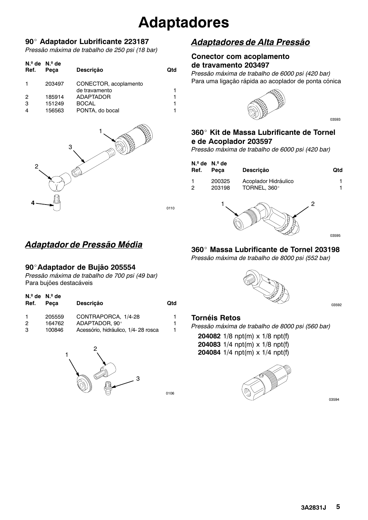# **Adaptadores**

#### 90° Adaptador Lubrificante 223187

Pressão máxima de trabalho de 250 psi (18 bar)

| Ref. | $No$ de $No$ de<br>Peca | <b>Descrição</b>                       | Qtd |
|------|-------------------------|----------------------------------------|-----|
|      | 203497                  | CONECTOR, acoplamento<br>de travamento |     |
| 2    | 185914                  | <b>ADAPTADOR</b>                       |     |
| 3    | 151249                  | <b>BOCAL</b>                           |     |
| 4    | 156563                  | PONTA, do bocal                        |     |



## Adaptador de Pressão Média

#### 90° Adaptador de Bujão 205554

Pressão máxima de trabalho de 700 psi (49 bar) Para bujões destacáveis

| $N°$ de $N°$ de<br>Ref. | Peca   | <b>Descrição</b>                    | <b>Qtd</b> |
|-------------------------|--------|-------------------------------------|------------|
| 1                       | 205559 | CONTRAPORCA, 1/4-28                 | 1.         |
| 2                       | 164762 | ADAPTADOR, 90°                      | 1.         |
| 3                       | 100846 | Acessório, hidráulico, 1/4-28 rosca | 1          |



## Adaptadores de Alta Pressão

#### **Conector com acoplamento** de travamento 203497

Pressão máxima de trabalho de 6000 psi (420 bar) Para uma ligação rápida ao acoplador de ponta cónica



03593

## 360° Kit de Massa Lubrificante de Tornel e de Acoplador 203597

Pressão máxima de trabalho de 6000 psi (420 bar)

| Ref. | $No$ de $No$ de<br>Peca | <b>Descrição</b>                     |   | Qtd |
|------|-------------------------|--------------------------------------|---|-----|
| 2    | 200325<br>203198        | Acoplador Hidráulico<br>TORNEL, 360° |   |     |
|      |                         |                                      | ⌒ |     |

0110

0106



360° Massa Lubrificante de Tornel 203198

03592

03595

#### **Tornéis Retos**

Pressão máxima de trabalho de 8000 psi (560 bar)

204082  $1/8$  npt(m) x  $1/8$  npt(f) 204083  $1/4$  npt(m) x  $1/8$  npt(f) 204084  $1/4$  npt(m) x  $1/4$  npt(f)



03594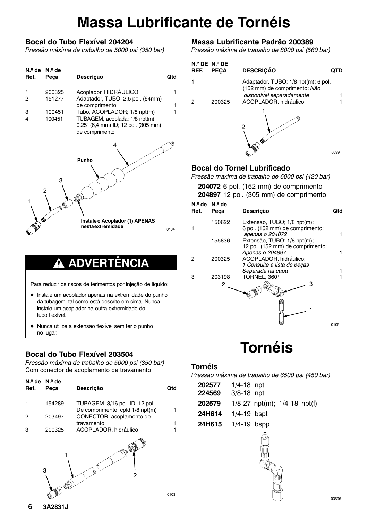# **Massa Lubrificante de Tornéis**

### Bocal do Tubo Flexível 204204

Pressão máxima de trabalho de 5000 psi (350 bar)

| $N°$ de $N°$ de<br>Ref. | Peça   | <b>Descrição</b>                                                                        | Qtd |
|-------------------------|--------|-----------------------------------------------------------------------------------------|-----|
| 1                       | 200325 | Acoplador, HIDRÁULICO                                                                   |     |
| 2                       | 151277 | Adaptador, TUBO, 2,5 pol. (64mm)                                                        |     |
|                         |        | de comprimento                                                                          | 1   |
| 3                       | 100451 | Tubo, ACOPLADOR; 1/8 npt(m)                                                             |     |
| 4                       | 100451 | TUBAGEM, acoplada; 1/8 npt(m);<br>0,25" (6,4 mm) ID; 12 pol. (305 mm)<br>de comprimento |     |
|                         | 3<br>2 | 4<br>Punho                                                                              |     |

Instale o Acoplador (1) APENAS nestaextremidade

0104

#### ADVERTÊNCIA Λ.

Para reduzir os riscos de ferimentos por injeção de líquido:

- Instale um acoplador apenas na extremidade do punho da tubagem, tal como está descrito em cima. Nunca instale um acoplador na outra extremidade do tubo flexível.
- · Nunca utilize a extensão flexível sem ter o punho no lugar.

## Bocal do Tubo Flexível 203504

Pressão máxima de trabalho de 5000 psi (350 bar) Com conector de acoplamento de travamento

| $N_{\rm e}$ de $N_{\rm e}$ de<br>Ref. | Peca   | <b>Descrição</b>                                                  | Otd |
|---------------------------------------|--------|-------------------------------------------------------------------|-----|
|                                       | 154289 | TUBAGEM, 3/16 pol. ID, 12 pol.<br>De comprimento, cpld 1/8 npt(m) |     |
| 2                                     | 203497 | CONECTOR, acoplamento de<br>travamento                            |     |
| 3                                     | 200325 | ACOPLADOR, hidráulico                                             |     |



## Massa Lubrificante Padrão 200389

Pressão máxima de trabalho de 8000 psi (560 bar)

| REF. | $N9$ DE $N9$ DE<br><b>PECA</b> | <b>DESCRIÇÃO</b>                                                                                |      |
|------|--------------------------------|-------------------------------------------------------------------------------------------------|------|
|      |                                | Adaptador, TUBO; 1/8 npt(m); 6 pol.<br>(152 mm) de comprimento; Não<br>disponível separadamente |      |
|      | 200325                         | ACOPLADOR, hidráulico                                                                           |      |
|      |                                |                                                                                                 | 0099 |

## **Bocal do Tornel Lubrificado**

Pressão máxima de trabalho de 6000 psi (420 bar)

| 204072 6 pol. (152 mm) de comprimento  |
|----------------------------------------|
| 204897 12 pol. (305 mm) de comprimento |
|                                        |

| N. <sup>⊭</sup> de<br>Ref. | N.º de<br>Peça | Descrição                                                                         | Qtd  |
|----------------------------|----------------|-----------------------------------------------------------------------------------|------|
|                            | 150622         | Extensão, TUBO; 1/8 npt(m);<br>6 pol. (152 mm) de comprimento;<br>apenas o 204072 |      |
|                            | 155836         | Extensão, TUBO; 1/8 npt(m);<br>12 pol. (152 mm) de comprimento;                   |      |
| 2                          | 200325         | Apenas o 204897<br>ACOPLADOR, hidráulico;<br>1 Consulte a lista de peças          |      |
| з                          | 203198<br>2    | Separada na capa<br>TORNEL, 360°<br>з                                             |      |
|                            |                |                                                                                   |      |
|                            |                |                                                                                   |      |
|                            |                |                                                                                   | 0105 |

## **Tornéis**

#### **Tornéis**

Pressão máxima de trabalho de 6500 psi (450 bar)

| 202577 | $1/4 - 18$ npt  |                                      |  |
|--------|-----------------|--------------------------------------|--|
| 224569 | $3/8 - 18$ npt  |                                      |  |
| 202579 |                 | $1/8 - 27$ npt(m); $1/4 - 18$ npt(f) |  |
| 24H614 | $1/4-19$ bspt   |                                      |  |
| 24H615 | $1/4 - 19$ bspp |                                      |  |
|        |                 |                                      |  |

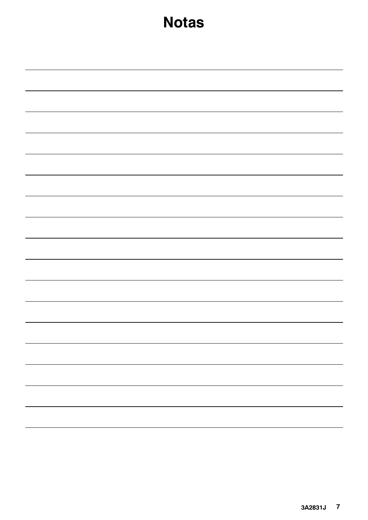